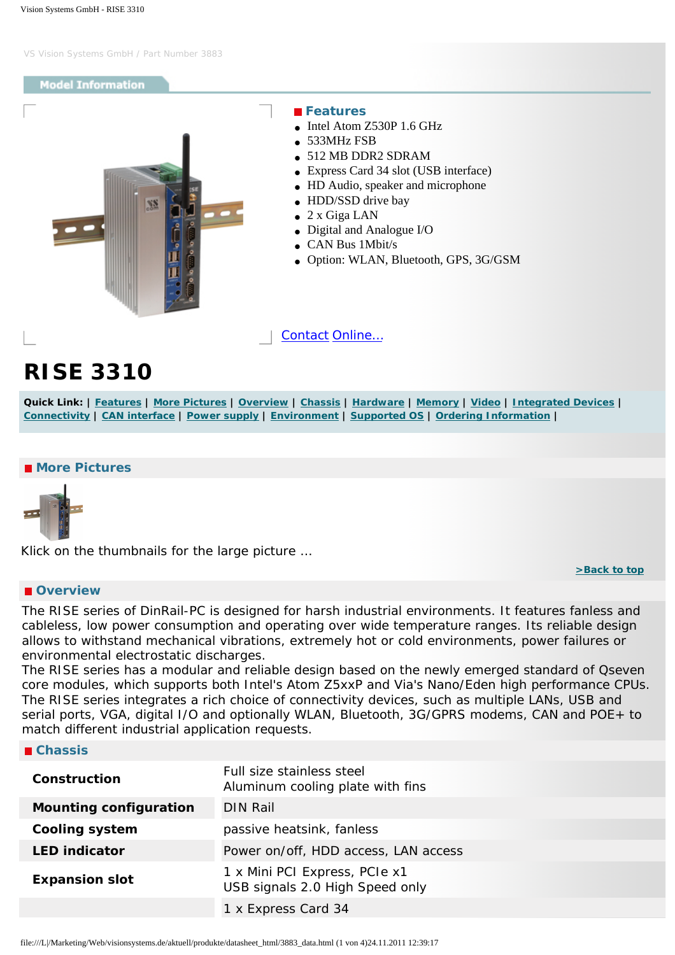#### <span id="page-0-4"></span>**Model Information**

<span id="page-0-0"></span>

 **Features**

- Intel Atom Z530P 1.6 GHz
- 533MHz FSB
- 512 MB DDR2 SDRAM
- Express Card 34 slot (USB interface)
- HD Audio, speaker and microphone
- HDD/SSD drive bay
- 2 x Giga LAN
- Digital and Analogue I/O
- CAN Bus 1Mbit/s
- Option: WLAN, Bluetooth, GPS, 3G/GSM

[Contact](http://www.visionsystems.de/contactus.htm) [Online…](http://www.visionsystems.de/produkte/3883.html)

# **RISE 3310**

Quick Link: | [Features](#page-0-0) | [More Pictures](#page-0-1) | [Overview](#page-0-2) | [Chassis](#page-0-3) | [Hardware](#page-1-0) | [Memory](#page-1-1) | [Video](#page-1-2) | [Integrated Devices](#page-1-3) | **[Connectivity](#page-1-4) | [CAN interface](#page-2-0) | [Power supply](#page-2-1) | [Environment](#page-2-2) | [Supported OS](#page-2-3) | [Ordering Information](#page-2-4) |**

## <span id="page-0-1"></span>■ More Pictures



Klick on the thumbnails for the large picture …

## <span id="page-0-2"></span> **Overview**

**[>Back to top](#page-0-4)** 

The RISE series of DinRail-PC is designed for harsh industrial environments. It features fanless and cableless, low power consumption and operating over wide temperature ranges. Its reliable design allows to withstand mechanical vibrations, extremely hot or cold environments, power failures or environmental electrostatic discharges.

The RISE series has a modular and reliable design based on the newly emerged standard of Qseven core modules, which supports both Intel's Atom Z5xxP and Via's Nano/Eden high performance CPUs. The RISE series integrates a rich choice of connectivity devices, such as multiple LANs, USB and serial ports, VGA, digital I/O and optionally WLAN, Bluetooth, 3G/GPRS modems, CAN and POE+ to match different industrial application requests.

#### <span id="page-0-3"></span> **Chassis**

| Construction                  | Full size stainless steel<br>Aluminum cooling plate with fins    |
|-------------------------------|------------------------------------------------------------------|
| <b>Mounting configuration</b> | DIN Rail                                                         |
| <b>Cooling system</b>         | passive heatsink, fanless                                        |
| <b>LED indicator</b>          | Power on/off, HDD access, LAN access                             |
| <b>Expansion slot</b>         | 1 x Mini PCI Express, PCIe x1<br>USB signals 2.0 High Speed only |
|                               | 1 x Express Card 34                                              |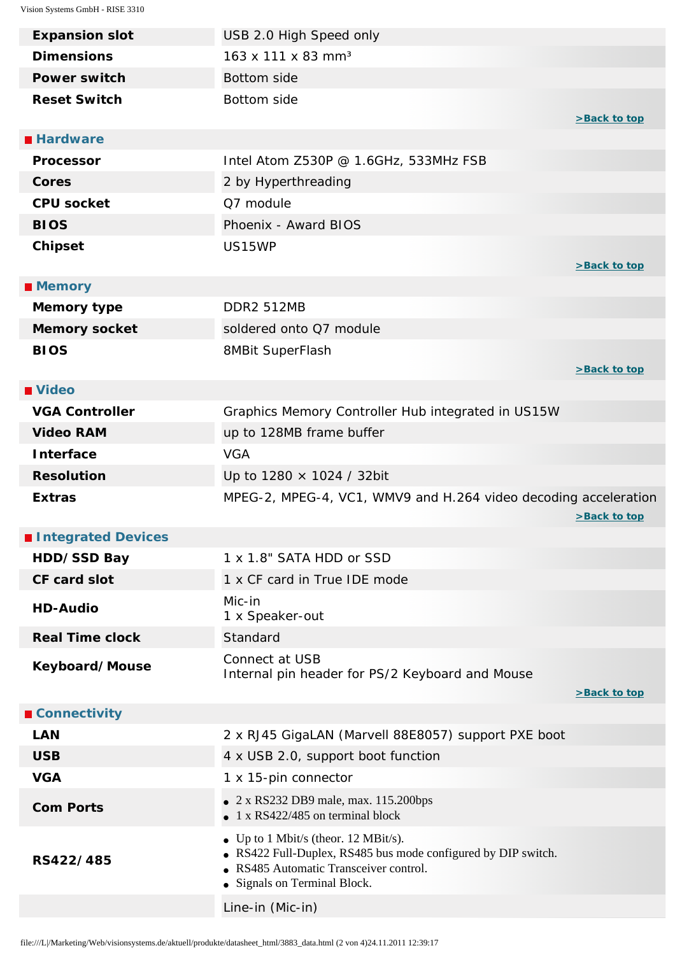<span id="page-1-4"></span><span id="page-1-3"></span><span id="page-1-2"></span><span id="page-1-1"></span><span id="page-1-0"></span>

| <b>Expansion slot</b>  | USB 2.0 High Speed only                                                                                                                                                         |              |
|------------------------|---------------------------------------------------------------------------------------------------------------------------------------------------------------------------------|--------------|
| <b>Dimensions</b>      | 163 x 111 x 83 mm <sup>3</sup>                                                                                                                                                  |              |
| <b>Power switch</b>    | <b>Bottom side</b>                                                                                                                                                              |              |
| <b>Reset Switch</b>    | Bottom side                                                                                                                                                                     | >Back to top |
| <b>Hardware</b>        |                                                                                                                                                                                 |              |
| <b>Processor</b>       | Intel Atom Z530P @ 1.6GHz, 533MHz FSB                                                                                                                                           |              |
| <b>Cores</b>           | 2 by Hyperthreading                                                                                                                                                             |              |
| <b>CPU socket</b>      | Q7 module                                                                                                                                                                       |              |
| <b>BIOS</b>            | Phoenix - Award BIOS                                                                                                                                                            |              |
| <b>Chipset</b>         | US15WP                                                                                                                                                                          | >Back to top |
| <b>Memory</b>          |                                                                                                                                                                                 |              |
| <b>Memory type</b>     | <b>DDR2 512MB</b>                                                                                                                                                               |              |
| <b>Memory socket</b>   | soldered onto Q7 module                                                                                                                                                         |              |
| <b>BIOS</b>            | 8MBit SuperFlash                                                                                                                                                                |              |
|                        |                                                                                                                                                                                 | >Back to top |
| ■ Video                |                                                                                                                                                                                 |              |
| <b>VGA Controller</b>  | Graphics Memory Controller Hub integrated in US15W                                                                                                                              |              |
| <b>Video RAM</b>       | up to 128MB frame buffer                                                                                                                                                        |              |
| <b>Interface</b>       | <b>VGA</b>                                                                                                                                                                      |              |
|                        |                                                                                                                                                                                 |              |
| <b>Resolution</b>      | Up to 1280 × 1024 / 32bit                                                                                                                                                       |              |
| <b>Extras</b>          | MPEG-2, MPEG-4, VC1, WMV9 and H.264 video decoding acceleration                                                                                                                 | >Back to top |
| Integrated Devices     |                                                                                                                                                                                 |              |
| HDD/SSD Bay            | 1 x 1.8" SATA HDD or SSD                                                                                                                                                        |              |
| <b>CF card slot</b>    | 1 x CF card in True IDE mode                                                                                                                                                    |              |
| <b>HD-Audio</b>        | Mic-in<br>1 x Speaker-out                                                                                                                                                       |              |
| <b>Real Time clock</b> | Standard                                                                                                                                                                        |              |
| Keyboard/Mouse         | Connect at USB<br>Internal pin header for PS/2 Keyboard and Mouse                                                                                                               | >Back to top |
| <b>■ Connectivity</b>  |                                                                                                                                                                                 |              |
| <b>LAN</b>             | 2 x RJ45 GigaLAN (Marvell 88E8057) support PXE boot                                                                                                                             |              |
| <b>USB</b>             | 4 x USB 2.0, support boot function                                                                                                                                              |              |
| <b>VGA</b>             | 1 x 15-pin connector                                                                                                                                                            |              |
| <b>Com Ports</b>       | $\bullet$ 2 x RS232 DB9 male, max. 115.200bps<br>$\bullet$ 1 x RS422/485 on terminal block                                                                                      |              |
| RS422/485              | • Up to 1 Mbit/s (theor. 12 MBit/s).<br>• RS422 Full-Duplex, RS485 bus mode configured by DIP switch.<br>• RS485 Automatic Transceiver control.<br>• Signals on Terminal Block. |              |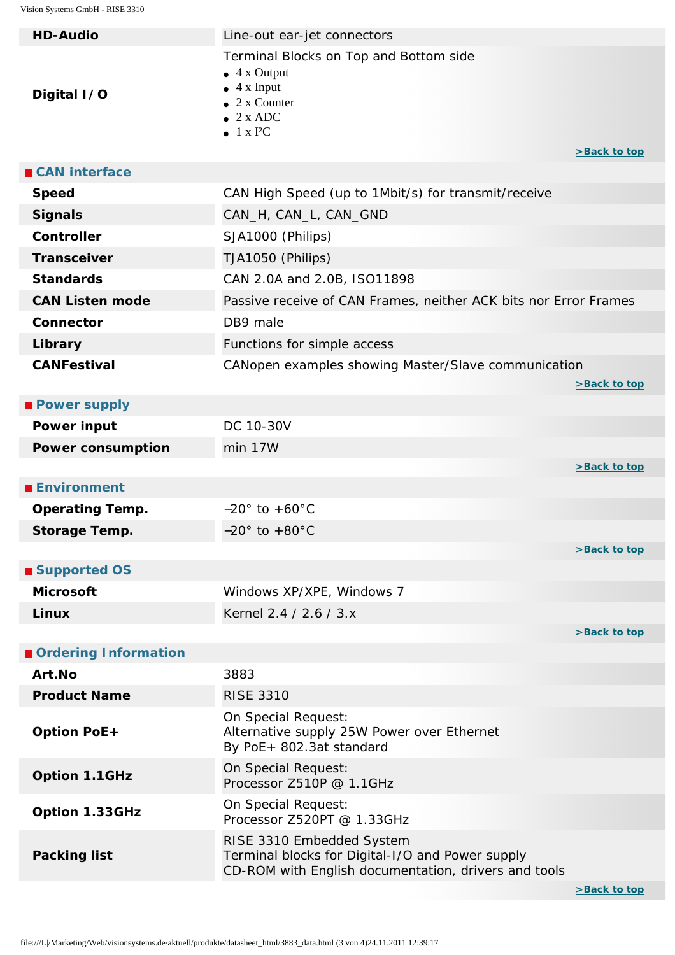<span id="page-2-4"></span><span id="page-2-3"></span><span id="page-2-2"></span><span id="page-2-1"></span><span id="page-2-0"></span>

| <b>HD-Audio</b>          | Line-out ear-jet connectors                                                                                                                                 |              |
|--------------------------|-------------------------------------------------------------------------------------------------------------------------------------------------------------|--------------|
| Digital I/O              | Terminal Blocks on Top and Bottom side<br>$\bullet$ 4 x Output<br>$\bullet$ 4 x Input<br>2 x Counter<br>$\bullet$ 2 x ADC<br>$\bullet$ 1 x I <sup>2</sup> C | >Back to top |
| ■ CAN interface          |                                                                                                                                                             |              |
| <b>Speed</b>             | CAN High Speed (up to 1Mbit/s) for transmit/receive                                                                                                         |              |
| <b>Signals</b>           | CAN_H, CAN_L, CAN_GND                                                                                                                                       |              |
| <b>Controller</b>        | SJA1000 (Philips)                                                                                                                                           |              |
| <b>Transceiver</b>       | TJA1050 (Philips)                                                                                                                                           |              |
| <b>Standards</b>         | CAN 2.0A and 2.0B, ISO11898                                                                                                                                 |              |
| <b>CAN Listen mode</b>   | Passive receive of CAN Frames, neither ACK bits nor Error Frames                                                                                            |              |
| Connector                | DB9 male                                                                                                                                                    |              |
| Library                  | Functions for simple access                                                                                                                                 |              |
| <b>CANFestival</b>       | CANopen examples showing Master/Slave communication                                                                                                         | >Back to top |
| <b>Power supply</b>      |                                                                                                                                                             |              |
| <b>Power input</b>       | DC 10-30V                                                                                                                                                   |              |
| <b>Power consumption</b> | min 17W                                                                                                                                                     |              |
|                          |                                                                                                                                                             | >Back to top |
| <b>Environment</b>       |                                                                                                                                                             |              |
| <b>Operating Temp.</b>   | $-20^\circ$ to $+60^\circ$ C                                                                                                                                |              |
| <b>Storage Temp.</b>     | $-20^\circ$ to $+80^\circ$ C                                                                                                                                |              |
|                          |                                                                                                                                                             | >Back to top |
| ■ Supported OS           |                                                                                                                                                             |              |
| <b>Microsoft</b>         | Windows XP/XPE, Windows 7                                                                                                                                   |              |
| Linux                    | Kernel 2.4 / 2.6 / 3.x                                                                                                                                      |              |
| Ordering Information     |                                                                                                                                                             | >Back to top |
| Art.No                   | 3883                                                                                                                                                        |              |
| <b>Product Name</b>      | <b>RISE 3310</b>                                                                                                                                            |              |
| <b>Option PoE+</b>       | On Special Request:<br>Alternative supply 25W Power over Ethernet<br>By PoE+ 802.3at standard                                                               |              |
| Option 1.1GHz            | On Special Request:<br>Processor Z510P @ 1.1GHz                                                                                                             |              |
| Option 1.33GHz           | On Special Request:<br>Processor Z520PT @ 1.33GHz                                                                                                           |              |
| <b>Packing list</b>      | RISE 3310 Embedded System<br>Terminal blocks for Digital-I/O and Power supply<br>CD-ROM with English documentation, drivers and tools                       |              |
|                          |                                                                                                                                                             | >Back to top |